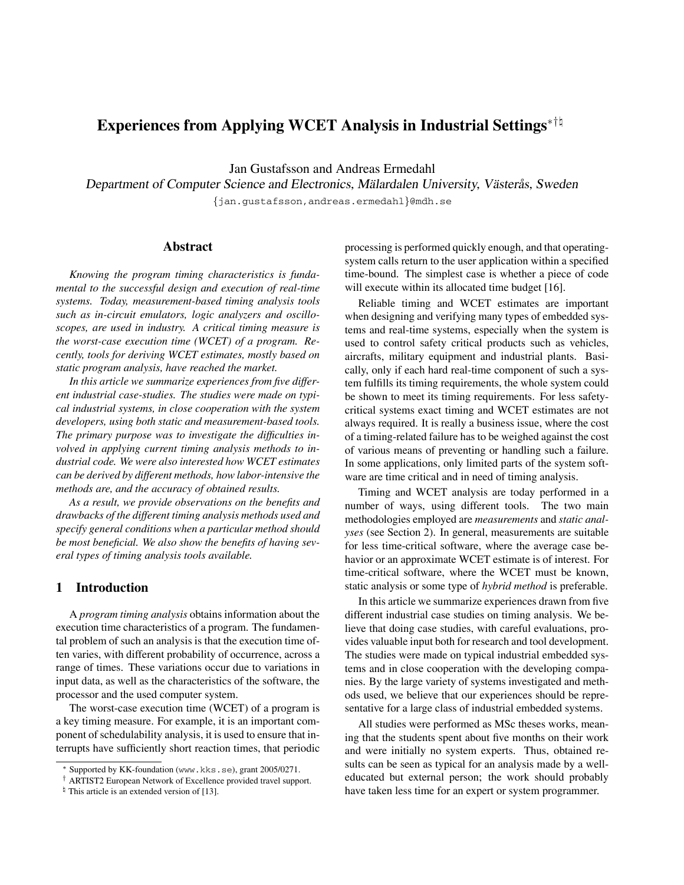# **Experiences from Applying WCET Analysis in Industrial Settings<sup>∗††</sup>**

Jan Gustafsson and Andreas Ermedahl

Department of Computer Science and Electronics, Mälardalen University, Västerås, Sweden

{jan.gustafsson,andreas.ermedahl}@mdh.se

### **Abstract**

*Knowing the program timing characteristics is fundamental to the successful design and execution of real-time systems. Today, measurement-based timing analysis tools such as in-circuit emulators, logic analyzers and oscilloscopes, are used in industry. A critical timing measure is the worst-case execution time (WCET) of a program. Recently, tools for deriving WCET estimates, mostly based on static program analysis, have reached the market.*

*In this article we summarize experiences from five different industrial case-studies. The studies were made on typical industrial systems, in close cooperation with the system developers, using both static and measurement-based tools. The primary purpose was to investigate the difficulties involved in applying current timing analysis methods to industrial code. We were also interested how WCET estimates can be derived by different methods, how labor-intensive the methods are, and the accuracy of obtained results.*

*As a result, we provide observations on the benefits and drawbacks of the different timing analysis methods used and specify general conditions when a particular method should be most beneficial. We also show the benefits of having several types of timing analysis tools available.*

### **1 Introduction**

A *program timing analysis* obtains information about the execution time characteristics of a program. The fundamental problem of such an analysis is that the execution time often varies, with different probability of occurrence, across a range of times. These variations occur due to variations in input data, as well as the characteristics of the software, the processor and the used computer system.

The worst-case execution time (WCET) of a program is a key timing measure. For example, it is an important component of schedulability analysis, it is used to ensure that interrupts have sufficiently short reaction times, that periodic processing is performed quickly enough, and that operatingsystem calls return to the user application within a specified time-bound. The simplest case is whether a piece of code will execute within its allocated time budget [16].

Reliable timing and WCET estimates are important when designing and verifying many types of embedded systems and real-time systems, especially when the system is used to control safety critical products such as vehicles, aircrafts, military equipment and industrial plants. Basically, only if each hard real-time component of such a system fulfills its timing requirements, the whole system could be shown to meet its timing requirements. For less safetycritical systems exact timing and WCET estimates are not always required. It is really a business issue, where the cost of a timing-related failure has to be weighed against the cost of various means of preventing or handling such a failure. In some applications, only limited parts of the system software are time critical and in need of timing analysis.

Timing and WCET analysis are today performed in a number of ways, using different tools. The two main methodologies employed are *measurements* and *static analyses* (see Section 2). In general, measurements are suitable for less time-critical software, where the average case behavior or an approximate WCET estimate is of interest. For time-critical software, where the WCET must be known, static analysis or some type of *hybrid method* is preferable.

In this article we summarize experiences drawn from five different industrial case studies on timing analysis. We believe that doing case studies, with careful evaluations, provides valuable input both for research and tool development. The studies were made on typical industrial embedded systems and in close cooperation with the developing companies. By the large variety of systems investigated and methods used, we believe that our experiences should be representative for a large class of industrial embedded systems.

All studies were performed as MSc theses works, meaning that the students spent about five months on their work and were initially no system experts. Thus, obtained results can be seen as typical for an analysis made by a welleducated but external person; the work should probably have taken less time for an expert or system programmer.

<sup>∗</sup> Supported by KK-foundation (www.kks.se), grant 2005/0271.

<sup>†</sup> ARTIST2 European Network of Excellence provided travel support.

<sup>&</sup>lt;sup>4</sup> This article is an extended version of [13].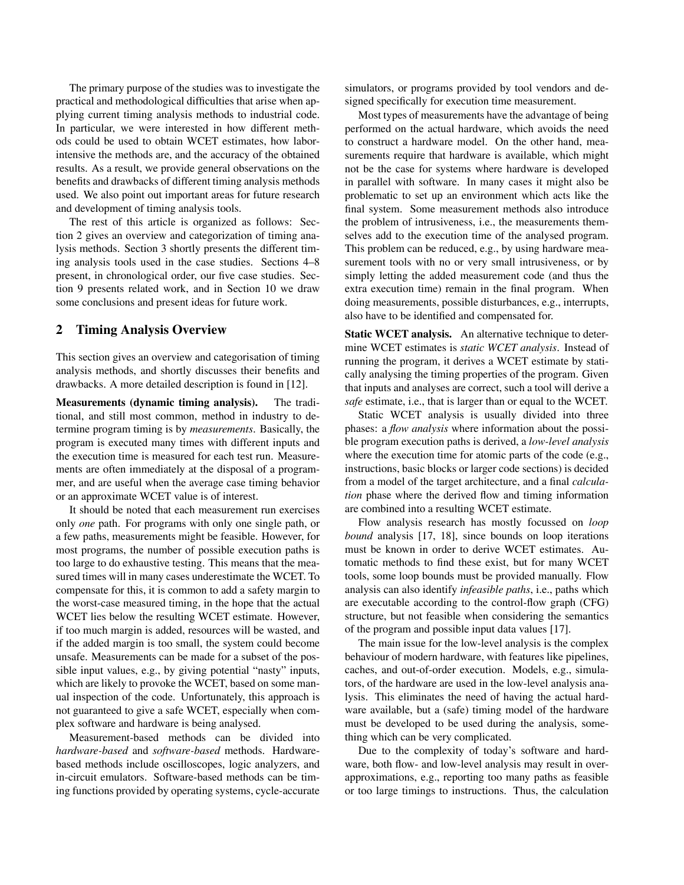The primary purpose of the studies was to investigate the practical and methodological difficulties that arise when applying current timing analysis methods to industrial code. In particular, we were interested in how different methods could be used to obtain WCET estimates, how laborintensive the methods are, and the accuracy of the obtained results. As a result, we provide general observations on the benefits and drawbacks of different timing analysis methods used. We also point out important areas for future research and development of timing analysis tools.

The rest of this article is organized as follows: Section 2 gives an overview and categorization of timing analysis methods. Section 3 shortly presents the different timing analysis tools used in the case studies. Sections 4–8 present, in chronological order, our five case studies. Section 9 presents related work, and in Section 10 we draw some conclusions and present ideas for future work.

### **2 Timing Analysis Overview**

This section gives an overview and categorisation of timing analysis methods, and shortly discusses their benefits and drawbacks. A more detailed description is found in [12].

**Measurements (dynamic timing analysis).** The traditional, and still most common, method in industry to determine program timing is by *measurements*. Basically, the program is executed many times with different inputs and the execution time is measured for each test run. Measurements are often immediately at the disposal of a programmer, and are useful when the average case timing behavior or an approximate WCET value is of interest.

It should be noted that each measurement run exercises only *one* path. For programs with only one single path, or a few paths, measurements might be feasible. However, for most programs, the number of possible execution paths is too large to do exhaustive testing. This means that the measured times will in many cases underestimate the WCET. To compensate for this, it is common to add a safety margin to the worst-case measured timing, in the hope that the actual WCET lies below the resulting WCET estimate. However, if too much margin is added, resources will be wasted, and if the added margin is too small, the system could become unsafe. Measurements can be made for a subset of the possible input values, e.g., by giving potential "nasty" inputs, which are likely to provoke the WCET, based on some manual inspection of the code. Unfortunately, this approach is not guaranteed to give a safe WCET, especially when complex software and hardware is being analysed.

Measurement-based methods can be divided into *hardware-based* and *software-based* methods. Hardwarebased methods include oscilloscopes, logic analyzers, and in-circuit emulators. Software-based methods can be timing functions provided by operating systems, cycle-accurate simulators, or programs provided by tool vendors and designed specifically for execution time measurement.

Most types of measurements have the advantage of being performed on the actual hardware, which avoids the need to construct a hardware model. On the other hand, measurements require that hardware is available, which might not be the case for systems where hardware is developed in parallel with software. In many cases it might also be problematic to set up an environment which acts like the final system. Some measurement methods also introduce the problem of intrusiveness, i.e., the measurements themselves add to the execution time of the analysed program. This problem can be reduced, e.g., by using hardware measurement tools with no or very small intrusiveness, or by simply letting the added measurement code (and thus the extra execution time) remain in the final program. When doing measurements, possible disturbances, e.g., interrupts, also have to be identified and compensated for.

**Static WCET analysis.** An alternative technique to determine WCET estimates is *static WCET analysis*. Instead of running the program, it derives a WCET estimate by statically analysing the timing properties of the program. Given that inputs and analyses are correct, such a tool will derive a *safe* estimate, i.e., that is larger than or equal to the WCET.

Static WCET analysis is usually divided into three phases: a *flow analysis* where information about the possible program execution paths is derived, a *low-level analysis* where the execution time for atomic parts of the code (e.g., instructions, basic blocks or larger code sections) is decided from a model of the target architecture, and a final *calculation* phase where the derived flow and timing information are combined into a resulting WCET estimate.

Flow analysis research has mostly focussed on *loop bound* analysis [17, 18], since bounds on loop iterations must be known in order to derive WCET estimates. Automatic methods to find these exist, but for many WCET tools, some loop bounds must be provided manually. Flow analysis can also identify *infeasible paths*, i.e., paths which are executable according to the control-flow graph (CFG) structure, but not feasible when considering the semantics of the program and possible input data values [17].

The main issue for the low-level analysis is the complex behaviour of modern hardware, with features like pipelines, caches, and out-of-order execution. Models, e.g., simulators, of the hardware are used in the low-level analysis analysis. This eliminates the need of having the actual hardware available, but a (safe) timing model of the hardware must be developed to be used during the analysis, something which can be very complicated.

Due to the complexity of today's software and hardware, both flow- and low-level analysis may result in overapproximations, e.g., reporting too many paths as feasible or too large timings to instructions. Thus, the calculation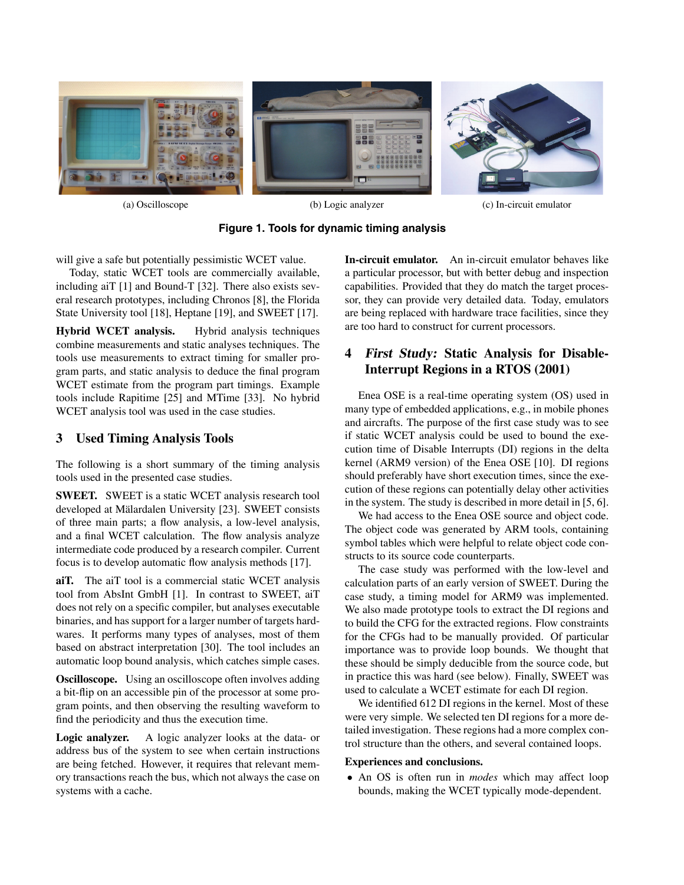

(a) Oscilloscope (b) Logic analyzer (c) In-circuit emulator

**Figure 1. Tools for dynamic timing analysis**

will give a safe but potentially pessimistic WCET value.

Today, static WCET tools are commercially available, including aiT [1] and Bound-T [32]. There also exists several research prototypes, including Chronos [8], the Florida State University tool [18], Heptane [19], and SWEET [17].

**Hybrid WCET analysis.** Hybrid analysis techniques combine measurements and static analyses techniques. The tools use measurements to extract timing for smaller program parts, and static analysis to deduce the final program WCET estimate from the program part timings. Example tools include Rapitime [25] and MTime [33]. No hybrid WCET analysis tool was used in the case studies.

### **3 Used Timing Analysis Tools**

The following is a short summary of the timing analysis tools used in the presented case studies.

**SWEET.** SWEET is a static WCET analysis research tool developed at Mälardalen University [23]. SWEET consists of three main parts; a flow analysis, a low-level analysis, and a final WCET calculation. The flow analysis analyze intermediate code produced by a research compiler. Current focus is to develop automatic flow analysis methods [17].

**aiT.** The aiT tool is a commercial static WCET analysis tool from AbsInt GmbH [1]. In contrast to SWEET, aiT does not rely on a specific compiler, but analyses executable binaries, and has support for a larger number of targets hardwares. It performs many types of analyses, most of them based on abstract interpretation [30]. The tool includes an automatic loop bound analysis, which catches simple cases.

**Oscilloscope.** Using an oscilloscope often involves adding a bit-flip on an accessible pin of the processor at some program points, and then observing the resulting waveform to find the periodicity and thus the execution time.

**Logic analyzer.** A logic analyzer looks at the data- or address bus of the system to see when certain instructions are being fetched. However, it requires that relevant memory transactions reach the bus, which not always the case on systems with a cache.

**In-circuit emulator.** An in-circuit emulator behaves like a particular processor, but with better debug and inspection capabilities. Provided that they do match the target processor, they can provide very detailed data. Today, emulators are being replaced with hardware trace facilities, since they are too hard to construct for current processors.

# **4 First Study: Static Analysis for Disable-Interrupt Regions in a RTOS (2001)**

Enea OSE is a real-time operating system (OS) used in many type of embedded applications, e.g., in mobile phones and aircrafts. The purpose of the first case study was to see if static WCET analysis could be used to bound the execution time of Disable Interrupts (DI) regions in the delta kernel (ARM9 version) of the Enea OSE [10]. DI regions should preferably have short execution times, since the execution of these regions can potentially delay other activities in the system. The study is described in more detail in [5, 6].

We had access to the Enea OSE source and object code. The object code was generated by ARM tools, containing symbol tables which were helpful to relate object code constructs to its source code counterparts.

The case study was performed with the low-level and calculation parts of an early version of SWEET. During the case study, a timing model for ARM9 was implemented. We also made prototype tools to extract the DI regions and to build the CFG for the extracted regions. Flow constraints for the CFGs had to be manually provided. Of particular importance was to provide loop bounds. We thought that these should be simply deducible from the source code, but in practice this was hard (see below). Finally, SWEET was used to calculate a WCET estimate for each DI region.

We identified 612 DI regions in the kernel. Most of these were very simple. We selected ten DI regions for a more detailed investigation. These regions had a more complex control structure than the others, and several contained loops.

### **Experiences and conclusions.**

• An OS is often run in *modes* which may affect loop bounds, making the WCET typically mode-dependent.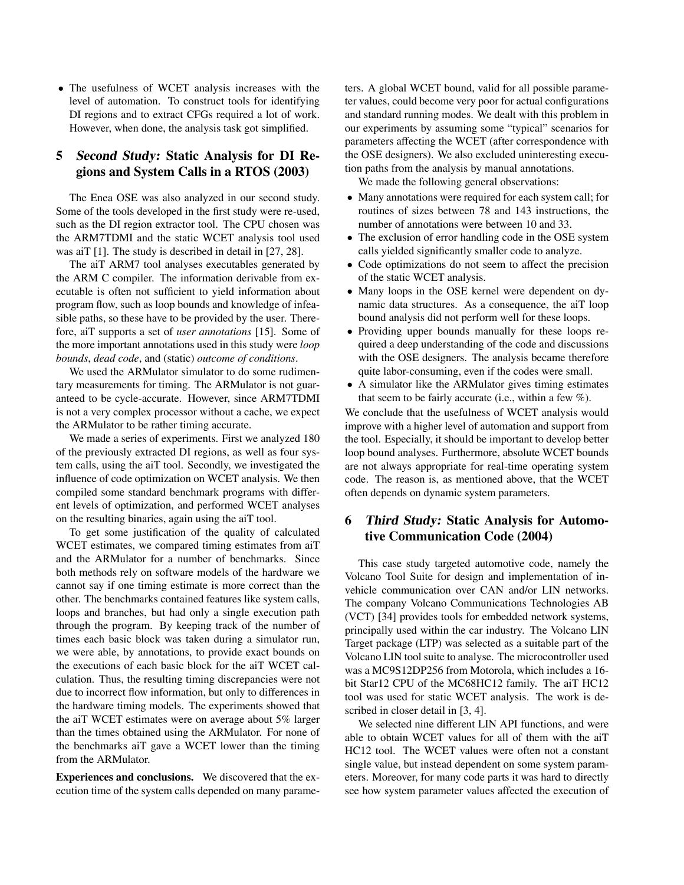• The usefulness of WCET analysis increases with the level of automation. To construct tools for identifying DI regions and to extract CFGs required a lot of work. However, when done, the analysis task got simplified.

# **5 Second Study: Static Analysis for DI Regions and System Calls in a RTOS (2003)**

The Enea OSE was also analyzed in our second study. Some of the tools developed in the first study were re-used, such as the DI region extractor tool. The CPU chosen was the ARM7TDMI and the static WCET analysis tool used was aiT [1]. The study is described in detail in [27, 28].

The aiT ARM7 tool analyses executables generated by the ARM C compiler. The information derivable from executable is often not sufficient to yield information about program flow, such as loop bounds and knowledge of infeasible paths, so these have to be provided by the user. Therefore, aiT supports a set of *user annotations* [15]. Some of the more important annotations used in this study were *loop bounds*, *dead code*, and (static) *outcome of conditions*.

We used the ARMulator simulator to do some rudimentary measurements for timing. The ARMulator is not guaranteed to be cycle-accurate. However, since ARM7TDMI is not a very complex processor without a cache, we expect the ARMulator to be rather timing accurate.

We made a series of experiments. First we analyzed 180 of the previously extracted DI regions, as well as four system calls, using the aiT tool. Secondly, we investigated the influence of code optimization on WCET analysis. We then compiled some standard benchmark programs with different levels of optimization, and performed WCET analyses on the resulting binaries, again using the aiT tool.

To get some justification of the quality of calculated WCET estimates, we compared timing estimates from aiT and the ARMulator for a number of benchmarks. Since both methods rely on software models of the hardware we cannot say if one timing estimate is more correct than the other. The benchmarks contained features like system calls, loops and branches, but had only a single execution path through the program. By keeping track of the number of times each basic block was taken during a simulator run, we were able, by annotations, to provide exact bounds on the executions of each basic block for the aiT WCET calculation. Thus, the resulting timing discrepancies were not due to incorrect flow information, but only to differences in the hardware timing models. The experiments showed that the aiT WCET estimates were on average about 5% larger than the times obtained using the ARMulator. For none of the benchmarks aiT gave a WCET lower than the timing from the ARMulator.

**Experiences and conclusions.** We discovered that the execution time of the system calls depended on many parameters. A global WCET bound, valid for all possible parameter values, could become very poor for actual configurations and standard running modes. We dealt with this problem in our experiments by assuming some "typical" scenarios for parameters affecting the WCET (after correspondence with the OSE designers). We also excluded uninteresting execution paths from the analysis by manual annotations.

We made the following general observations:

- Many annotations were required for each system call; for routines of sizes between 78 and 143 instructions, the number of annotations were between 10 and 33.
- The exclusion of error handling code in the OSE system calls yielded significantly smaller code to analyze.
- Code optimizations do not seem to affect the precision of the static WCET analysis.
- Many loops in the OSE kernel were dependent on dynamic data structures. As a consequence, the aiT loop bound analysis did not perform well for these loops.
- Providing upper bounds manually for these loops required a deep understanding of the code and discussions with the OSE designers. The analysis became therefore quite labor-consuming, even if the codes were small.
- A simulator like the ARMulator gives timing estimates that seem to be fairly accurate (i.e., within a few %).

We conclude that the usefulness of WCET analysis would improve with a higher level of automation and support from the tool. Especially, it should be important to develop better loop bound analyses. Furthermore, absolute WCET bounds are not always appropriate for real-time operating system code. The reason is, as mentioned above, that the WCET often depends on dynamic system parameters.

# **6 Third Study: Static Analysis for Automotive Communication Code (2004)**

This case study targeted automotive code, namely the Volcano Tool Suite for design and implementation of invehicle communication over CAN and/or LIN networks. The company Volcano Communications Technologies AB (VCT) [34] provides tools for embedded network systems, principally used within the car industry. The Volcano LIN Target package (LTP) was selected as a suitable part of the Volcano LIN tool suite to analyse. The microcontroller used was a MC9S12DP256 from Motorola, which includes a 16 bit Star12 CPU of the MC68HC12 family. The aiT HC12 tool was used for static WCET analysis. The work is described in closer detail in [3, 4].

We selected nine different LIN API functions, and were able to obtain WCET values for all of them with the aiT HC12 tool. The WCET values were often not a constant single value, but instead dependent on some system parameters. Moreover, for many code parts it was hard to directly see how system parameter values affected the execution of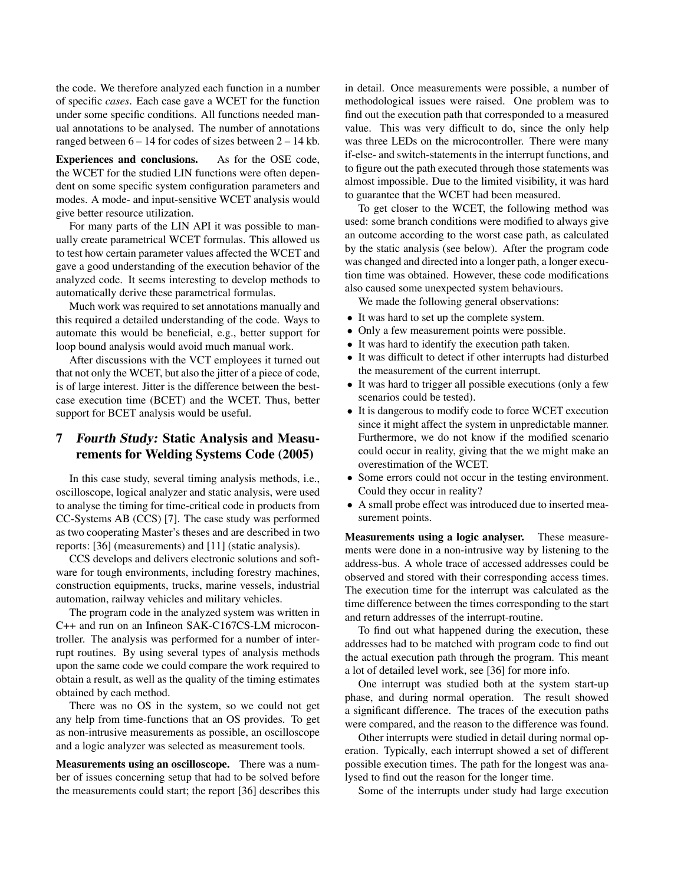the code. We therefore analyzed each function in a number of specific *cases*. Each case gave a WCET for the function under some specific conditions. All functions needed manual annotations to be analysed. The number of annotations ranged between 6 – 14 for codes of sizes between 2 – 14 kb.

**Experiences and conclusions.** As for the OSE code, the WCET for the studied LIN functions were often dependent on some specific system configuration parameters and modes. A mode- and input-sensitive WCET analysis would give better resource utilization.

For many parts of the LIN API it was possible to manually create parametrical WCET formulas. This allowed us to test how certain parameter values affected the WCET and gave a good understanding of the execution behavior of the analyzed code. It seems interesting to develop methods to automatically derive these parametrical formulas.

Much work was required to set annotations manually and this required a detailed understanding of the code. Ways to automate this would be beneficial, e.g., better support for loop bound analysis would avoid much manual work.

After discussions with the VCT employees it turned out that not only the WCET, but also the jitter of a piece of code, is of large interest. Jitter is the difference between the bestcase execution time (BCET) and the WCET. Thus, better support for BCET analysis would be useful.

# **7 Fourth Study: Static Analysis and Measurements for Welding Systems Code (2005)**

In this case study, several timing analysis methods, i.e., oscilloscope, logical analyzer and static analysis, were used to analyse the timing for time-critical code in products from CC-Systems AB (CCS) [7]. The case study was performed as two cooperating Master's theses and are described in two reports: [36] (measurements) and [11] (static analysis).

CCS develops and delivers electronic solutions and software for tough environments, including forestry machines, construction equipments, trucks, marine vessels, industrial automation, railway vehicles and military vehicles.

The program code in the analyzed system was written in C++ and run on an Infineon SAK-C167CS-LM microcontroller. The analysis was performed for a number of interrupt routines. By using several types of analysis methods upon the same code we could compare the work required to obtain a result, as well as the quality of the timing estimates obtained by each method.

There was no OS in the system, so we could not get any help from time-functions that an OS provides. To get as non-intrusive measurements as possible, an oscilloscope and a logic analyzer was selected as measurement tools.

**Measurements using an oscilloscope.** There was a number of issues concerning setup that had to be solved before the measurements could start; the report [36] describes this in detail. Once measurements were possible, a number of methodological issues were raised. One problem was to find out the execution path that corresponded to a measured value. This was very difficult to do, since the only help was three LEDs on the microcontroller. There were many if-else- and switch-statements in the interrupt functions, and to figure out the path executed through those statements was almost impossible. Due to the limited visibility, it was hard to guarantee that the WCET had been measured.

To get closer to the WCET, the following method was used: some branch conditions were modified to always give an outcome according to the worst case path, as calculated by the static analysis (see below). After the program code was changed and directed into a longer path, a longer execution time was obtained. However, these code modifications also caused some unexpected system behaviours.

We made the following general observations:

- It was hard to set up the complete system.
- Only a few measurement points were possible.
- It was hard to identify the execution path taken.
- It was difficult to detect if other interrupts had disturbed the measurement of the current interrupt.
- It was hard to trigger all possible executions (only a few scenarios could be tested).
- It is dangerous to modify code to force WCET execution since it might affect the system in unpredictable manner. Furthermore, we do not know if the modified scenario could occur in reality, giving that the we might make an overestimation of the WCET.
- Some errors could not occur in the testing environment. Could they occur in reality?
- A small probe effect was introduced due to inserted measurement points.

**Measurements using a logic analyser.** These measurements were done in a non-intrusive way by listening to the address-bus. A whole trace of accessed addresses could be observed and stored with their corresponding access times. The execution time for the interrupt was calculated as the time difference between the times corresponding to the start and return addresses of the interrupt-routine.

To find out what happened during the execution, these addresses had to be matched with program code to find out the actual execution path through the program. This meant a lot of detailed level work, see [36] for more info.

One interrupt was studied both at the system start-up phase, and during normal operation. The result showed a significant difference. The traces of the execution paths were compared, and the reason to the difference was found.

Other interrupts were studied in detail during normal operation. Typically, each interrupt showed a set of different possible execution times. The path for the longest was analysed to find out the reason for the longer time.

Some of the interrupts under study had large execution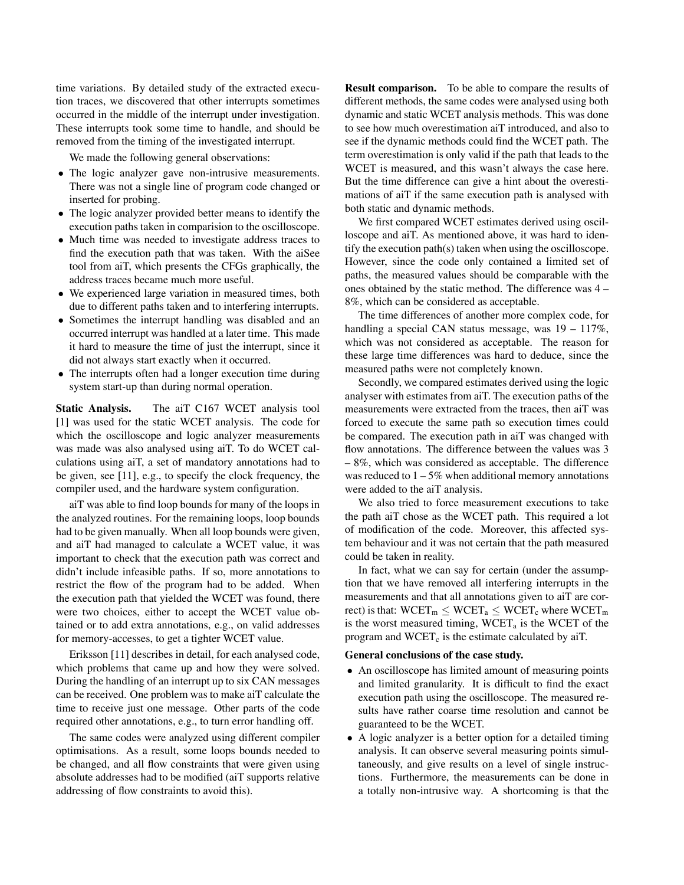time variations. By detailed study of the extracted execution traces, we discovered that other interrupts sometimes occurred in the middle of the interrupt under investigation. These interrupts took some time to handle, and should be removed from the timing of the investigated interrupt.

We made the following general observations:

- The logic analyzer gave non-intrusive measurements. There was not a single line of program code changed or inserted for probing.
- The logic analyzer provided better means to identify the execution paths taken in comparision to the oscilloscope.
- Much time was needed to investigate address traces to find the execution path that was taken. With the aiSee tool from aiT, which presents the CFGs graphically, the address traces became much more useful.
- We experienced large variation in measured times, both due to different paths taken and to interfering interrupts.
- Sometimes the interrupt handling was disabled and an occurred interrupt was handled at a later time. This made it hard to measure the time of just the interrupt, since it did not always start exactly when it occurred.
- The interrupts often had a longer execution time during system start-up than during normal operation.

**Static Analysis.** The aiT C167 WCET analysis tool [1] was used for the static WCET analysis. The code for which the oscilloscope and logic analyzer measurements was made was also analysed using aiT. To do WCET calculations using aiT, a set of mandatory annotations had to be given, see [11], e.g., to specify the clock frequency, the compiler used, and the hardware system configuration.

aiT was able to find loop bounds for many of the loops in the analyzed routines. For the remaining loops, loop bounds had to be given manually. When all loop bounds were given, and aiT had managed to calculate a WCET value, it was important to check that the execution path was correct and didn't include infeasible paths. If so, more annotations to restrict the flow of the program had to be added. When the execution path that yielded the WCET was found, there were two choices, either to accept the WCET value obtained or to add extra annotations, e.g., on valid addresses for memory-accesses, to get a tighter WCET value.

Eriksson [11] describes in detail, for each analysed code, which problems that came up and how they were solved. During the handling of an interrupt up to six CAN messages can be received. One problem was to make aiT calculate the time to receive just one message. Other parts of the code required other annotations, e.g., to turn error handling off.

The same codes were analyzed using different compiler optimisations. As a result, some loops bounds needed to be changed, and all flow constraints that were given using absolute addresses had to be modified (aiT supports relative addressing of flow constraints to avoid this).

**Result comparison.** To be able to compare the results of different methods, the same codes were analysed using both dynamic and static WCET analysis methods. This was done to see how much overestimation aiT introduced, and also to see if the dynamic methods could find the WCET path. The term overestimation is only valid if the path that leads to the WCET is measured, and this wasn't always the case here. But the time difference can give a hint about the overestimations of aiT if the same execution path is analysed with both static and dynamic methods.

We first compared WCET estimates derived using oscilloscope and aiT. As mentioned above, it was hard to identify the execution path(s) taken when using the oscilloscope. However, since the code only contained a limited set of paths, the measured values should be comparable with the ones obtained by the static method. The difference was 4 – 8%, which can be considered as acceptable.

The time differences of another more complex code, for handling a special CAN status message, was  $19 - 117\%,$ which was not considered as acceptable. The reason for these large time differences was hard to deduce, since the measured paths were not completely known.

Secondly, we compared estimates derived using the logic analyser with estimates from aiT. The execution paths of the measurements were extracted from the traces, then aiT was forced to execute the same path so execution times could be compared. The execution path in aiT was changed with flow annotations. The difference between the values was 3 – 8%, which was considered as acceptable. The difference was reduced to  $1 - 5\%$  when additional memory annotations were added to the aiT analysis.

We also tried to force measurement executions to take the path aiT chose as the WCET path. This required a lot of modification of the code. Moreover, this affected system behaviour and it was not certain that the path measured could be taken in reality.

In fact, what we can say for certain (under the assumption that we have removed all interfering interrupts in the measurements and that all annotations given to aiT are correct) is that:  $WCET_m \leq WCET_a \leq WCET_c$  where  $WCET_m$ is the worst measured timing,  $WCET_a$  is the WCET of the program and  $WCET_c$  is the estimate calculated by aiT.

#### **General conclusions of the case study.**

- An oscilloscope has limited amount of measuring points and limited granularity. It is difficult to find the exact execution path using the oscilloscope. The measured results have rather coarse time resolution and cannot be guaranteed to be the WCET.
- A logic analyzer is a better option for a detailed timing analysis. It can observe several measuring points simultaneously, and give results on a level of single instructions. Furthermore, the measurements can be done in a totally non-intrusive way. A shortcoming is that the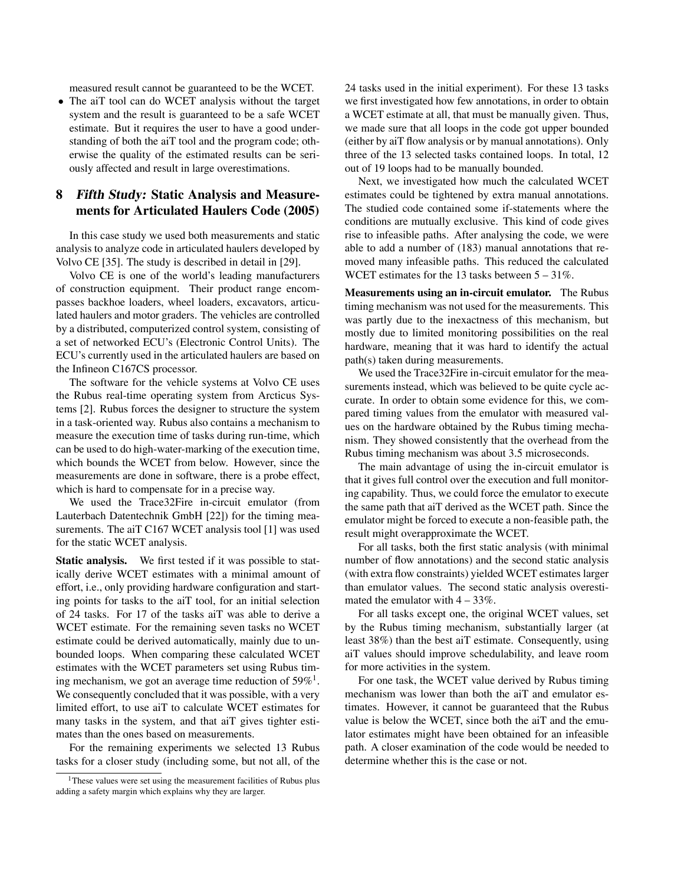measured result cannot be guaranteed to be the WCET.

• The aiT tool can do WCET analysis without the target system and the result is guaranteed to be a safe WCET estimate. But it requires the user to have a good understanding of both the aiT tool and the program code; otherwise the quality of the estimated results can be seriously affected and result in large overestimations.

## **8 Fifth Study: Static Analysis and Measurements for Articulated Haulers Code (2005)**

In this case study we used both measurements and static analysis to analyze code in articulated haulers developed by Volvo CE [35]. The study is described in detail in [29].

Volvo CE is one of the world's leading manufacturers of construction equipment. Their product range encompasses backhoe loaders, wheel loaders, excavators, articulated haulers and motor graders. The vehicles are controlled by a distributed, computerized control system, consisting of a set of networked ECU's (Electronic Control Units). The ECU's currently used in the articulated haulers are based on the Infineon C167CS processor.

The software for the vehicle systems at Volvo CE uses the Rubus real-time operating system from Arcticus Systems [2]. Rubus forces the designer to structure the system in a task-oriented way. Rubus also contains a mechanism to measure the execution time of tasks during run-time, which can be used to do high-water-marking of the execution time, which bounds the WCET from below. However, since the measurements are done in software, there is a probe effect, which is hard to compensate for in a precise way.

We used the Trace32Fire in-circuit emulator (from Lauterbach Datentechnik GmbH [22]) for the timing measurements. The aiT C167 WCET analysis tool [1] was used for the static WCET analysis.

**Static analysis.** We first tested if it was possible to statically derive WCET estimates with a minimal amount of effort, i.e., only providing hardware configuration and starting points for tasks to the aiT tool, for an initial selection of 24 tasks. For 17 of the tasks aiT was able to derive a WCET estimate. For the remaining seven tasks no WCET estimate could be derived automatically, mainly due to unbounded loops. When comparing these calculated WCET estimates with the WCET parameters set using Rubus timing mechanism, we got an average time reduction of  $59\%$ <sup>1</sup>. We consequently concluded that it was possible, with a very limited effort, to use aiT to calculate WCET estimates for many tasks in the system, and that aiT gives tighter estimates than the ones based on measurements.

For the remaining experiments we selected 13 Rubus tasks for a closer study (including some, but not all, of the 24 tasks used in the initial experiment). For these 13 tasks we first investigated how few annotations, in order to obtain a WCET estimate at all, that must be manually given. Thus, we made sure that all loops in the code got upper bounded (either by aiT flow analysis or by manual annotations). Only three of the 13 selected tasks contained loops. In total, 12 out of 19 loops had to be manually bounded.

Next, we investigated how much the calculated WCET estimates could be tightened by extra manual annotations. The studied code contained some if-statements where the conditions are mutually exclusive. This kind of code gives rise to infeasible paths. After analysing the code, we were able to add a number of (183) manual annotations that removed many infeasible paths. This reduced the calculated WCET estimates for the 13 tasks between  $5 - 31\%$ .

**Measurements using an in-circuit emulator.** The Rubus timing mechanism was not used for the measurements. This was partly due to the inexactness of this mechanism, but mostly due to limited monitoring possibilities on the real hardware, meaning that it was hard to identify the actual path(s) taken during measurements.

We used the Trace32Fire in-circuit emulator for the measurements instead, which was believed to be quite cycle accurate. In order to obtain some evidence for this, we compared timing values from the emulator with measured values on the hardware obtained by the Rubus timing mechanism. They showed consistently that the overhead from the Rubus timing mechanism was about 3.5 microseconds.

The main advantage of using the in-circuit emulator is that it gives full control over the execution and full monitoring capability. Thus, we could force the emulator to execute the same path that aiT derived as the WCET path. Since the emulator might be forced to execute a non-feasible path, the result might overapproximate the WCET.

For all tasks, both the first static analysis (with minimal number of flow annotations) and the second static analysis (with extra flow constraints) yielded WCET estimates larger than emulator values. The second static analysis overestimated the emulator with  $4 - 33\%$ .

For all tasks except one, the original WCET values, set by the Rubus timing mechanism, substantially larger (at least 38%) than the best aiT estimate. Consequently, using aiT values should improve schedulability, and leave room for more activities in the system.

For one task, the WCET value derived by Rubus timing mechanism was lower than both the aiT and emulator estimates. However, it cannot be guaranteed that the Rubus value is below the WCET, since both the aiT and the emulator estimates might have been obtained for an infeasible path. A closer examination of the code would be needed to determine whether this is the case or not.

<sup>&</sup>lt;sup>1</sup>These values were set using the measurement facilities of Rubus plus adding a safety margin which explains why they are larger.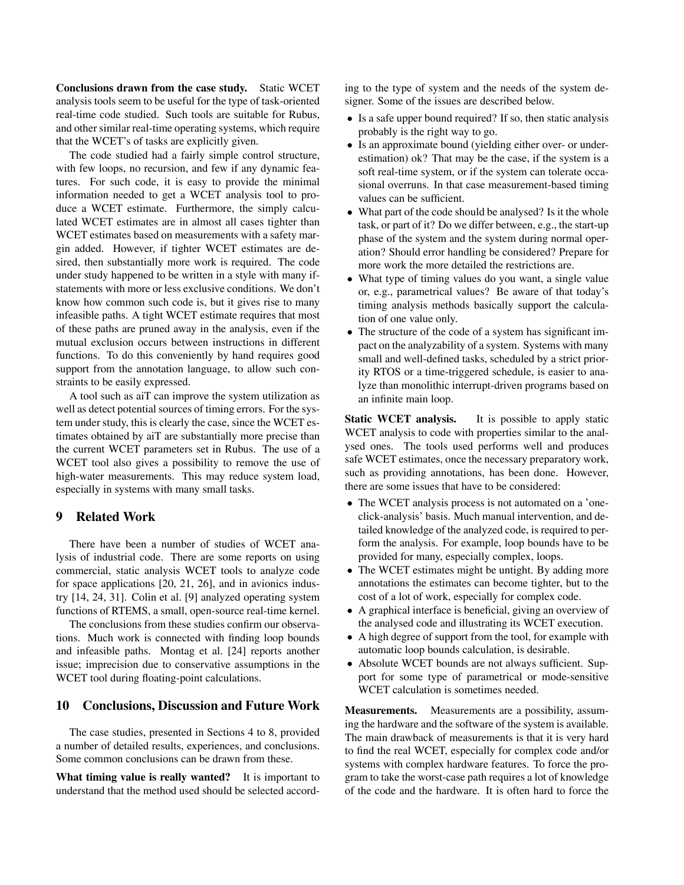**Conclusions drawn from the case study.** Static WCET analysis tools seem to be useful for the type of task-oriented real-time code studied. Such tools are suitable for Rubus, and other similar real-time operating systems, which require that the WCET's of tasks are explicitly given.

The code studied had a fairly simple control structure, with few loops, no recursion, and few if any dynamic features. For such code, it is easy to provide the minimal information needed to get a WCET analysis tool to produce a WCET estimate. Furthermore, the simply calculated WCET estimates are in almost all cases tighter than WCET estimates based on measurements with a safety margin added. However, if tighter WCET estimates are desired, then substantially more work is required. The code under study happened to be written in a style with many ifstatements with more or less exclusive conditions. We don't know how common such code is, but it gives rise to many infeasible paths. A tight WCET estimate requires that most of these paths are pruned away in the analysis, even if the mutual exclusion occurs between instructions in different functions. To do this conveniently by hand requires good support from the annotation language, to allow such constraints to be easily expressed.

A tool such as aiT can improve the system utilization as well as detect potential sources of timing errors. For the system under study, this is clearly the case, since the WCET estimates obtained by aiT are substantially more precise than the current WCET parameters set in Rubus. The use of a WCET tool also gives a possibility to remove the use of high-water measurements. This may reduce system load, especially in systems with many small tasks.

### **9 Related Work**

There have been a number of studies of WCET analysis of industrial code. There are some reports on using commercial, static analysis WCET tools to analyze code for space applications [20, 21, 26], and in avionics industry [14, 24, 31]. Colin et al. [9] analyzed operating system functions of RTEMS, a small, open-source real-time kernel.

The conclusions from these studies confirm our observations. Much work is connected with finding loop bounds and infeasible paths. Montag et al. [24] reports another issue; imprecision due to conservative assumptions in the WCET tool during floating-point calculations.

#### **10 Conclusions, Discussion and Future Work**

The case studies, presented in Sections 4 to 8, provided a number of detailed results, experiences, and conclusions. Some common conclusions can be drawn from these.

**What timing value is really wanted?** It is important to understand that the method used should be selected according to the type of system and the needs of the system designer. Some of the issues are described below.

- Is a safe upper bound required? If so, then static analysis probably is the right way to go.
- Is an approximate bound (yielding either over- or underestimation) ok? That may be the case, if the system is a soft real-time system, or if the system can tolerate occasional overruns. In that case measurement-based timing values can be sufficient.
- What part of the code should be analysed? Is it the whole task, or part of it? Do we differ between, e.g., the start-up phase of the system and the system during normal operation? Should error handling be considered? Prepare for more work the more detailed the restrictions are.
- What type of timing values do you want, a single value or, e.g., parametrical values? Be aware of that today's timing analysis methods basically support the calculation of one value only.
- The structure of the code of a system has significant impact on the analyzability of a system. Systems with many small and well-defined tasks, scheduled by a strict priority RTOS or a time-triggered schedule, is easier to analyze than monolithic interrupt-driven programs based on an infinite main loop.

**Static WCET analysis.** It is possible to apply static WCET analysis to code with properties similar to the analysed ones. The tools used performs well and produces safe WCET estimates, once the necessary preparatory work, such as providing annotations, has been done. However, there are some issues that have to be considered:

- The WCET analysis process is not automated on a 'oneclick-analysis' basis. Much manual intervention, and detailed knowledge of the analyzed code, is required to perform the analysis. For example, loop bounds have to be provided for many, especially complex, loops.
- The WCET estimates might be untight. By adding more annotations the estimates can become tighter, but to the cost of a lot of work, especially for complex code.
- A graphical interface is beneficial, giving an overview of the analysed code and illustrating its WCET execution.
- A high degree of support from the tool, for example with automatic loop bounds calculation, is desirable.
- Absolute WCET bounds are not always sufficient. Support for some type of parametrical or mode-sensitive WCET calculation is sometimes needed.

**Measurements.** Measurements are a possibility, assuming the hardware and the software of the system is available. The main drawback of measurements is that it is very hard to find the real WCET, especially for complex code and/or systems with complex hardware features. To force the program to take the worst-case path requires a lot of knowledge of the code and the hardware. It is often hard to force the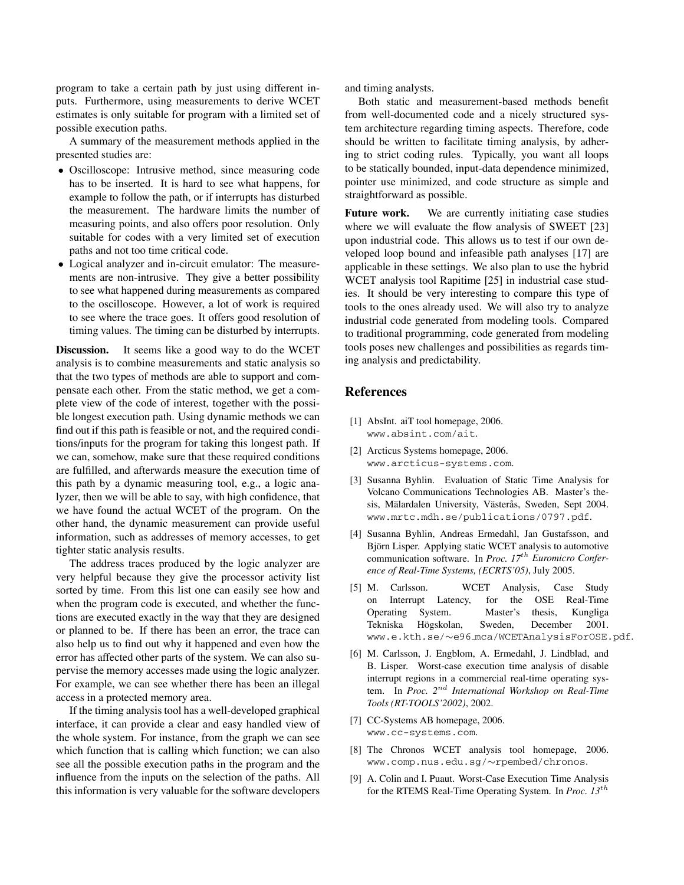program to take a certain path by just using different inputs. Furthermore, using measurements to derive WCET estimates is only suitable for program with a limited set of possible execution paths.

A summary of the measurement methods applied in the presented studies are:

- Oscilloscope: Intrusive method, since measuring code has to be inserted. It is hard to see what happens, for example to follow the path, or if interrupts has disturbed the measurement. The hardware limits the number of measuring points, and also offers poor resolution. Only suitable for codes with a very limited set of execution paths and not too time critical code.
- Logical analyzer and in-circuit emulator: The measurements are non-intrusive. They give a better possibility to see what happened during measurements as compared to the oscilloscope. However, a lot of work is required to see where the trace goes. It offers good resolution of timing values. The timing can be disturbed by interrupts.

**Discussion.** It seems like a good way to do the WCET analysis is to combine measurements and static analysis so that the two types of methods are able to support and compensate each other. From the static method, we get a complete view of the code of interest, together with the possible longest execution path. Using dynamic methods we can find out if this path is feasible or not, and the required conditions/inputs for the program for taking this longest path. If we can, somehow, make sure that these required conditions are fulfilled, and afterwards measure the execution time of this path by a dynamic measuring tool, e.g., a logic analyzer, then we will be able to say, with high confidence, that we have found the actual WCET of the program. On the other hand, the dynamic measurement can provide useful information, such as addresses of memory accesses, to get tighter static analysis results.

The address traces produced by the logic analyzer are very helpful because they give the processor activity list sorted by time. From this list one can easily see how and when the program code is executed, and whether the functions are executed exactly in the way that they are designed or planned to be. If there has been an error, the trace can also help us to find out why it happened and even how the error has affected other parts of the system. We can also supervise the memory accesses made using the logic analyzer. For example, we can see whether there has been an illegal access in a protected memory area.

If the timing analysis tool has a well-developed graphical interface, it can provide a clear and easy handled view of the whole system. For instance, from the graph we can see which function that is calling which function; we can also see all the possible execution paths in the program and the influence from the inputs on the selection of the paths. All this information is very valuable for the software developers

and timing analysts.

Both static and measurement-based methods benefit from well-documented code and a nicely structured system architecture regarding timing aspects. Therefore, code should be written to facilitate timing analysis, by adhering to strict coding rules. Typically, you want all loops to be statically bounded, input-data dependence minimized, pointer use minimized, and code structure as simple and straightforward as possible.

Future work. We are currently initiating case studies where we will evaluate the flow analysis of SWEET [23] upon industrial code. This allows us to test if our own developed loop bound and infeasible path analyses [17] are applicable in these settings. We also plan to use the hybrid WCET analysis tool Rapitime [25] in industrial case studies. It should be very interesting to compare this type of tools to the ones already used. We will also try to analyze industrial code generated from modeling tools. Compared to traditional programming, code generated from modeling tools poses new challenges and possibilities as regards timing analysis and predictability.

#### **References**

- [1] AbsInt. aiT tool homepage, 2006. www.absint.com/ait.
- [2] Arcticus Systems homepage, 2006. www.arcticus-systems.com.
- [3] Susanna Byhlin. Evaluation of Static Time Analysis for Volcano Communications Technologies AB. Master's thesis, Mälardalen University, Västerås, Sweden, Sept 2004. www.mrtc.mdh.se/publications/0797.pdf.
- [4] Susanna Byhlin, Andreas Ermedahl, Jan Gustafsson, and Björn Lisper. Applying static WCET analysis to automotive communication software. In *Proc. 17*th *Euromicro Conference of Real-Time Systems, (ECRTS'05)*, July 2005.
- [5] M. Carlsson. WCET Analysis, Case Study on Interrupt Latency, for the OSE Real-Time Operating System. Master's thesis, Kungliga Tekniska Högskolan, Sweden, December 2001. www.e.kth.se/∼e96 mca/WCETAnalysisForOSE.pdf.
- [6] M. Carlsson, J. Engblom, A. Ermedahl, J. Lindblad, and B. Lisper. Worst-case execution time analysis of disable interrupt regions in a commercial real-time operating system. In *Proc. 2*nd *International Workshop on Real-Time Tools (RT-TOOLS'2002)*, 2002.
- [7] CC-Systems AB homepage, 2006. www.cc-systems.com.
- [8] The Chronos WCET analysis tool homepage, 2006. www.comp.nus.edu.sg/∼rpembed/chronos.
- [9] A. Colin and I. Puaut. Worst-Case Execution Time Analysis for the RTEMS Real-Time Operating System. In *Proc. 13*th